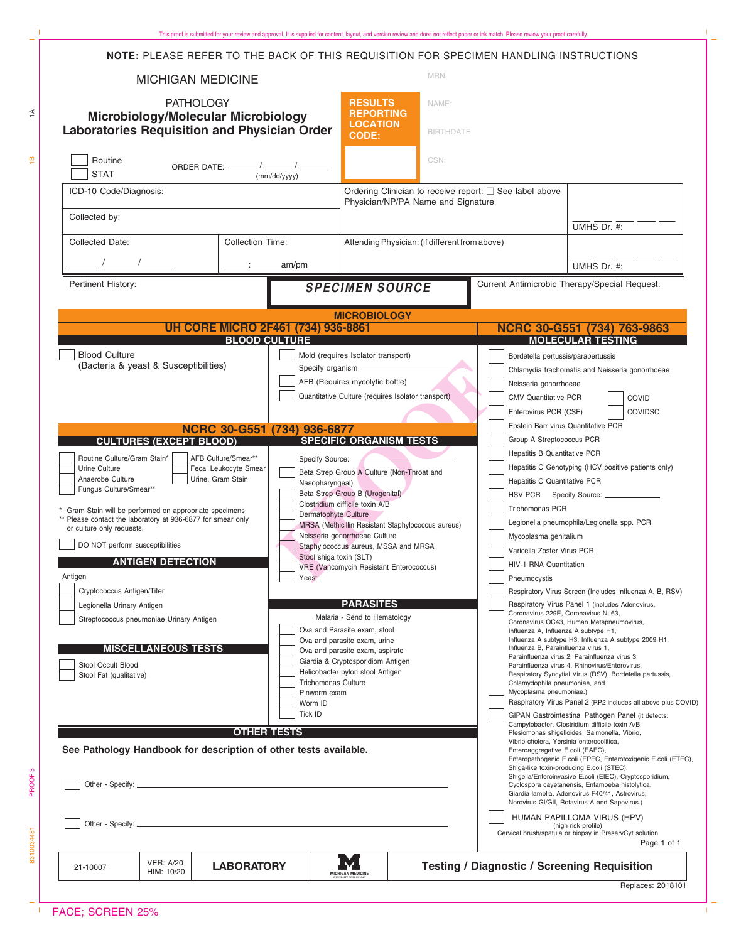| NOTE: PLEASE REFER TO THE BACK OF THIS REQUISITION FOR SPECIMEN HANDLING INSTRUCTIONS                                                                                                                                                                                                                                                                                                                                                                                                                                                                                                 |                                                                                                                                                                       |                                                                                                                                                                                                                                                                                                                                                                                                                                                                                                                                                       |                                                                                                                                                                                                                                                                                                                                                                           |                                                                                                                                                                                                                                                                                                                                                                                                                                                                                                                                                                                                                                                                                                                                                         |  |
|---------------------------------------------------------------------------------------------------------------------------------------------------------------------------------------------------------------------------------------------------------------------------------------------------------------------------------------------------------------------------------------------------------------------------------------------------------------------------------------------------------------------------------------------------------------------------------------|-----------------------------------------------------------------------------------------------------------------------------------------------------------------------|-------------------------------------------------------------------------------------------------------------------------------------------------------------------------------------------------------------------------------------------------------------------------------------------------------------------------------------------------------------------------------------------------------------------------------------------------------------------------------------------------------------------------------------------------------|---------------------------------------------------------------------------------------------------------------------------------------------------------------------------------------------------------------------------------------------------------------------------------------------------------------------------------------------------------------------------|---------------------------------------------------------------------------------------------------------------------------------------------------------------------------------------------------------------------------------------------------------------------------------------------------------------------------------------------------------------------------------------------------------------------------------------------------------------------------------------------------------------------------------------------------------------------------------------------------------------------------------------------------------------------------------------------------------------------------------------------------------|--|
| <b>MICHIGAN MEDICINE</b>                                                                                                                                                                                                                                                                                                                                                                                                                                                                                                                                                              |                                                                                                                                                                       | MRN:                                                                                                                                                                                                                                                                                                                                                                                                                                                                                                                                                  |                                                                                                                                                                                                                                                                                                                                                                           |                                                                                                                                                                                                                                                                                                                                                                                                                                                                                                                                                                                                                                                                                                                                                         |  |
| <b>PATHOLOGY</b><br>Microbiology/Molecular Microbiology<br><b>Laboratories Requisition and Physician Order</b>                                                                                                                                                                                                                                                                                                                                                                                                                                                                        | <b>RESULTS</b><br>NAME:<br><b>REPORTING</b><br><b>LOCATION</b><br>BIRTHDATE:<br><b>CODE:</b>                                                                          |                                                                                                                                                                                                                                                                                                                                                                                                                                                                                                                                                       |                                                                                                                                                                                                                                                                                                                                                                           |                                                                                                                                                                                                                                                                                                                                                                                                                                                                                                                                                                                                                                                                                                                                                         |  |
| Routine<br>ORDER DATE: _______ /_______ /_<br><b>STAT</b><br>(mm/dd/yyyy)                                                                                                                                                                                                                                                                                                                                                                                                                                                                                                             |                                                                                                                                                                       | CSN:                                                                                                                                                                                                                                                                                                                                                                                                                                                                                                                                                  |                                                                                                                                                                                                                                                                                                                                                                           |                                                                                                                                                                                                                                                                                                                                                                                                                                                                                                                                                                                                                                                                                                                                                         |  |
| ICD-10 Code/Diagnosis:<br>Collected by:                                                                                                                                                                                                                                                                                                                                                                                                                                                                                                                                               |                                                                                                                                                                       | Ordering Clinician to receive report: □ See label above<br>Physician/NP/PA Name and Signature                                                                                                                                                                                                                                                                                                                                                                                                                                                         |                                                                                                                                                                                                                                                                                                                                                                           |                                                                                                                                                                                                                                                                                                                                                                                                                                                                                                                                                                                                                                                                                                                                                         |  |
| Collected Date:<br><b>Collection Time:</b>                                                                                                                                                                                                                                                                                                                                                                                                                                                                                                                                            |                                                                                                                                                                       | Attending Physician: (if different from above)                                                                                                                                                                                                                                                                                                                                                                                                                                                                                                        |                                                                                                                                                                                                                                                                                                                                                                           | UMHS Dr. $#$ :                                                                                                                                                                                                                                                                                                                                                                                                                                                                                                                                                                                                                                                                                                                                          |  |
| Pertinent History:                                                                                                                                                                                                                                                                                                                                                                                                                                                                                                                                                                    | .am/pm                                                                                                                                                                |                                                                                                                                                                                                                                                                                                                                                                                                                                                                                                                                                       |                                                                                                                                                                                                                                                                                                                                                                           | UMHS Dr. $#$ :<br>Current Antimicrobic Therapy/Special Request:                                                                                                                                                                                                                                                                                                                                                                                                                                                                                                                                                                                                                                                                                         |  |
|                                                                                                                                                                                                                                                                                                                                                                                                                                                                                                                                                                                       |                                                                                                                                                                       | <b>SPECIMEN SOURCE</b>                                                                                                                                                                                                                                                                                                                                                                                                                                                                                                                                |                                                                                                                                                                                                                                                                                                                                                                           |                                                                                                                                                                                                                                                                                                                                                                                                                                                                                                                                                                                                                                                                                                                                                         |  |
|                                                                                                                                                                                                                                                                                                                                                                                                                                                                                                                                                                                       |                                                                                                                                                                       | <b>MICROBIOLOGY</b>                                                                                                                                                                                                                                                                                                                                                                                                                                                                                                                                   |                                                                                                                                                                                                                                                                                                                                                                           |                                                                                                                                                                                                                                                                                                                                                                                                                                                                                                                                                                                                                                                                                                                                                         |  |
| <b>UH CORE MICRO 2F461 (734) 936-8861</b><br><b>BLOOD CULTURE</b>                                                                                                                                                                                                                                                                                                                                                                                                                                                                                                                     |                                                                                                                                                                       |                                                                                                                                                                                                                                                                                                                                                                                                                                                                                                                                                       | NCRC 30-G551 (734) 763-9863<br><b>MOLECULAR TESTING</b>                                                                                                                                                                                                                                                                                                                   |                                                                                                                                                                                                                                                                                                                                                                                                                                                                                                                                                                                                                                                                                                                                                         |  |
| (Bacteria & yeast & Susceptibilities)                                                                                                                                                                                                                                                                                                                                                                                                                                                                                                                                                 |                                                                                                                                                                       | Specify organism ____________<br>AFB (Requires mycolytic bottle)<br>Quantitative Culture (requires Isolator transport)                                                                                                                                                                                                                                                                                                                                                                                                                                |                                                                                                                                                                                                                                                                                                                                                                           | Chlamydia trachomatis and Neisseria gonorrhoeae<br>Neisseria gonorrhoeae<br>COVID<br><b>CMV Quantitative PCR</b><br>Enterovirus PCR (CSF)<br><b>COVIDSC</b><br>Epstein Barr virus Quantitative PCR                                                                                                                                                                                                                                                                                                                                                                                                                                                                                                                                                      |  |
| <b>NCRC 30-G551</b><br><b>CULTURES (EXCEPT BLOOD)</b>                                                                                                                                                                                                                                                                                                                                                                                                                                                                                                                                 | (734) 936-6877                                                                                                                                                        | <b>SPECIFIC ORGANISM TESTS</b>                                                                                                                                                                                                                                                                                                                                                                                                                                                                                                                        | Group A Streptococcus PCR                                                                                                                                                                                                                                                                                                                                                 |                                                                                                                                                                                                                                                                                                                                                                                                                                                                                                                                                                                                                                                                                                                                                         |  |
| Routine Culture/Gram Stain*<br>AFB Culture/Smear**<br>Fecal Leukocyte Smear<br>Urine Culture<br>Urine, Gram Stain<br>Anaerobe Culture<br>Fungus Culture/Smear**<br>Gram Stain will be performed on appropriate specimens<br>** Please contact the laboratory at 936-6877 for smear only<br>or culture only requests.<br>DO NOT perform susceptibilities<br><b>ANTIGEN DETECTION</b><br>Antigen<br>Cryptococcus Antigen/Titer<br>Legionella Urinary Antigen<br>Streptococcus pneumoniae Urinary Antigen<br><b>MISCELLANEOUS TESTS</b><br>Stool Occult Blood<br>Stool Fat (qualitative) | Nasopharyngeal)<br>Dermatophyte Culture<br>Stool shiga toxin (SLT)<br>Yeast<br><b>Trichomonas Culture</b><br>Pinworm exam<br>Worm ID<br>Tick ID<br><b>OTHER TESTS</b> | Specify Source:<br>Beta Strep Group A Culture (Non-Throat and<br>Beta Strep Group B (Urogenital)<br>Clostridium difficile toxin A/B<br>MRSA (Methicillin Resistant Staphylococcus aureus)<br>Neisseria gonorrhoeae Culture<br>Staphylococcus aureus, MSSA and MRSA<br><b>VRE (Vancomycin Resistant Enterococcus)</b><br><b>PARASITES</b><br>Malaria - Send to Hematology<br>Ova and Parasite exam, stool<br>Ova and parasite exam, urine<br>Ova and parasite exam, aspirate<br>Giardia & Cryptosporidiom Antigen<br>Helicobacter pylori stool Antigen | Hepatitis B Quantitative PCR<br>Hepatitis C Quantitative PCR<br>Trichomonas PCR<br>Mycoplasma genitalium<br>Varicella Zoster Virus PCR<br><b>HIV-1 RNA Quantitation</b><br>Pneumocystis<br>Coronavirus 229E, Coronavirus NL63,<br>Influenza A, Influenza A subtype H1,<br>Influenza B, Parainfluenza virus 1,<br>Chlamydophila pneumoniae, and<br>Mycoplasma pneumoniae.) | Hepatitis C Genotyping (HCV positive patients only)<br>HSV PCR Specify Source: ______________<br>Legionella pneumophila/Legionella spp. PCR<br>Respiratory Virus Screen (Includes Influenza A, B, RSV)<br>Respiratory Virus Panel 1 (includes Adenovirus,<br>Coronavirus OC43, Human Metapneumovirus,<br>Influenza A subtype H3, Influenza A subtype 2009 H1,<br>Parainfluenza virus 2, Parainfluenza virus 3,<br>Parainfluenza virus 4, Rhinovirus/Enterovirus,<br>Respiratory Syncytial Virus (RSV), Bordetella pertussis,<br>Respiratory Virus Panel 2 (RP2 includes all above plus COVID)<br>GIPAN Gastrointestinal Pathogen Panel (it detects:<br>Campylobacter, Clostridium difficile toxin A/B,<br>Plesiomonas shigelloides, Salmonella, Vibrio, |  |
| See Pathology Handbook for description of other tests available.                                                                                                                                                                                                                                                                                                                                                                                                                                                                                                                      |                                                                                                                                                                       |                                                                                                                                                                                                                                                                                                                                                                                                                                                                                                                                                       | Vibrio cholera, Yersinia enterocolitica,<br>Enteroaggregative E.coli (EAEC),                                                                                                                                                                                                                                                                                              | Enteropathogenic E.coli (EPEC, Enterotoxigenic E.coli (ETEC),<br>Shiga-like toxin-producing E.coli (STEC),<br>Shigella/Enteroinvasive E.coli (EIEC), Cryptosporidium,<br>Cyclospora cayetanensis, Entamoeba histolytica,<br>Giardia lamblia, Adenovirus F40/41, Astrovirus,<br>Norovirus GI/GII, Rotavirus A and Sapovirus.)<br>HUMAN PAPILLOMA VIRUS (HPV)<br>(high risk profile)<br>Cervical brush/spatula or biopsy in PreservCyt solution<br>Page 1 of 1                                                                                                                                                                                                                                                                                            |  |
| <b>VER: A/20</b><br><b>LABORATORY</b><br>21-10007<br>HIM: 10/20                                                                                                                                                                                                                                                                                                                                                                                                                                                                                                                       |                                                                                                                                                                       | <b>MICHIGAN MEDICINE</b>                                                                                                                                                                                                                                                                                                                                                                                                                                                                                                                              | <b>Testing / Diagnostic / Screening Requisition</b>                                                                                                                                                                                                                                                                                                                       | Replaces: 2018101                                                                                                                                                                                                                                                                                                                                                                                                                                                                                                                                                                                                                                                                                                                                       |  |

÷  $\mathbf{I}$ 

This proof is submitted for your review and approval. It is supplied for content, layout, and version review and does not reflect paper or ink match. Please review your proof carefully.

PROOF 3

 $\frac{1}{2}$ 

 $\preceq$